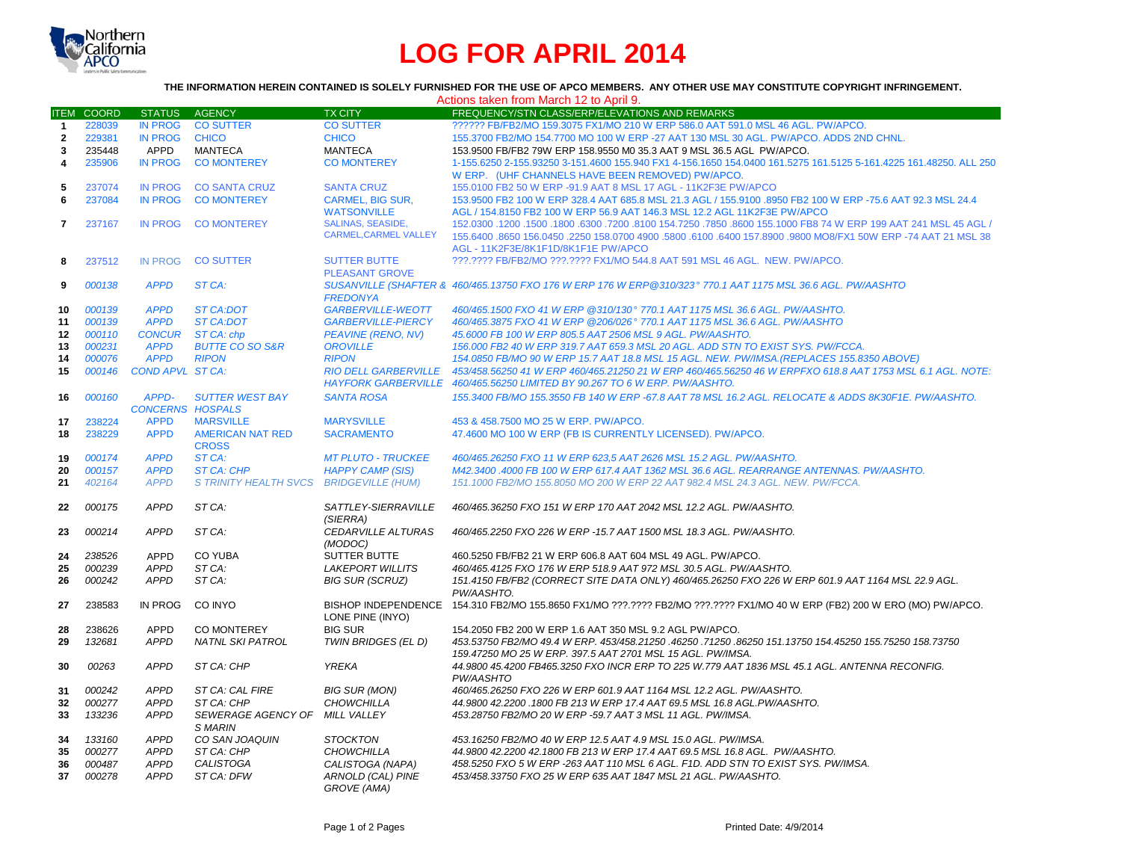

## **LOG FOR APRIL 2014**

## **THE INFORMATION HEREIN CONTAINED IS SOLELY FURNISHED FOR THE USE OF APCO MEMBERS. ANY OTHER USE MAY CONSTITUTE COPYRIGHT INFRINGEMENT.**

| FUNNISHED FUN THE USE OF AFGU MEMBENS. ANT V |  |  |
|----------------------------------------------|--|--|
| Actions taken from March 12 to April 9       |  |  |

| <b>ITEM</b>    | COORD            | STATUS AGENCY              |                                            | <b>TX CITY</b>                          | $\frac{1}{2}$ to take the motion that $\frac{1}{2}$ is the set of the set of the set of the set of the set of the set of the set of the set of the set of the set of the set of the set of the set of the set of the set of the set o<br>FREQUENCY/STN CLASS/ERP/ELEVATIONS AND REMARKS |
|----------------|------------------|----------------------------|--------------------------------------------|-----------------------------------------|-----------------------------------------------------------------------------------------------------------------------------------------------------------------------------------------------------------------------------------------------------------------------------------------|
| $\mathbf{1}$   | 228039           | <b>IN PROG</b>             | <b>CO SUTTER</b>                           | <b>CO SUTTER</b>                        | ?????? FB/FB2/MO 159.3075 FX1/MO 210 W ERP 586.0 AAT 591.0 MSL 46 AGL. PW/APCO.                                                                                                                                                                                                         |
| $\overline{2}$ | 229381           | <b>IN PROG</b>             | <b>CHICO</b>                               | <b>CHICO</b>                            | 155.3700 FB2/MO 154.7700 MO 100 W ERP -27 AAT 130 MSL 30 AGL. PW/APCO. ADDS 2ND CHNL.                                                                                                                                                                                                   |
| 3              | 235448           | APPD                       | <b>MANTECA</b>                             | <b>MANTECA</b>                          | 153.9500 FB/FB2 79W ERP 158.9550 M0 35.3 AAT 9 MSL 36.5 AGL PW/APCO.                                                                                                                                                                                                                    |
| 4              | 235906           | <b>IN PROG</b>             | <b>CO MONTEREY</b>                         | <b>CO MONTEREY</b>                      | 1-155.6250 2-155.93250 3-151.4600 155.940 FX1 4-156.1650 154.0400 161.5275 161.5125 5-161.4225 161.48250. ALL 250                                                                                                                                                                       |
|                |                  |                            |                                            |                                         | W ERP. (UHF CHANNELS HAVE BEEN REMOVED) PW/APCO.                                                                                                                                                                                                                                        |
| 5              | 237074           | <b>IN PROG</b>             | <b>CO SANTA CRUZ</b>                       | <b>SANTA CRUZ</b>                       | 155,0100 FB2 50 W ERP -91.9 AAT 8 MSL 17 AGL - 11K2F3E PW/APCO                                                                                                                                                                                                                          |
| 6              | 237084           | <b>IN PROG</b>             | <b>CO MONTEREY</b>                         | <b>CARMEL, BIG SUR,</b>                 | 153.9500 FB2 100 W ERP 328.4 AAT 685.8 MSL 21.3 AGL / 155.9100 .8950 FB2 100 W ERP -75.6 AAT 92.3 MSL 24.4                                                                                                                                                                              |
|                |                  |                            |                                            | <b>WATSONVILLE</b>                      | AGL / 154.8150 FB2 100 W ERP 56.9 AAT 146.3 MSL 12.2 AGL 11K2F3E PW/APCO                                                                                                                                                                                                                |
| $\overline{7}$ | 237167           | <b>IN PROG</b>             | <b>CO MONTEREY</b>                         | <b>SALINAS, SEASIDE,</b>                | 150. 84 A5 L45 AGL / 152.0300 .1200 .1500 .1500 .8100 154.7250 .7850 .8600 155.1000 FB8 74 W ERP 199 AAT 241 MSL 45 AGL                                                                                                                                                                 |
|                |                  |                            |                                            | <b>CARMEL.CARMEL VALLEY</b>             | 155.6400 .8650 156.0450 .2250 158.0700 4900 .5800 .6100 .6400 157.8900 .9800 MO8/FX1 50W ERP -74 AAT 21 MSL 38                                                                                                                                                                          |
|                |                  |                            |                                            |                                         | AGL - 11K2F3E/8K1F1D/8K1F1E PW/APCO                                                                                                                                                                                                                                                     |
| 8              | 237512           | <b>IN PROG</b>             | <b>CO SUTTER</b>                           | <b>SUTTER BUTTE</b>                     | ???.???? FB/FB2/MO ???.???? FX1/MO 544.8 AAT 591 MSL 46 AGL. NEW. PW/APCO.                                                                                                                                                                                                              |
|                |                  |                            |                                            | <b>PLEASANT GROVE</b>                   |                                                                                                                                                                                                                                                                                         |
| 9              | 000138           | <b>APPD</b>                | ST CA:                                     |                                         | SUSANVILLE (SHAFTER & 460/465.13750 FXO 176 W ERP 176 W ERP@310/323° 770.1 AAT 1175 MSL 36.6 AGL. PW/AASHTO                                                                                                                                                                             |
|                |                  |                            |                                            | <b>FREDONYA</b>                         |                                                                                                                                                                                                                                                                                         |
| 10             | 000139           | <b>APPD</b>                | <b>ST CA:DOT</b>                           | <b>GARBERVILLE-WEOTT</b>                | 460/465.1500 FXO 41 W ERP @310/130° 770.1 AAT 1175 MSL 36.6 AGL. PW/AASHTO.                                                                                                                                                                                                             |
| 11             | 000139           | <b>APPD</b>                | <b>ST CA:DOT</b>                           | <b>GARBERVILLE-PIERCY</b>               | 460/465.3875 FXO 41 W ERP @206/026° 770.1 AAT 1175 MSL 36.6 AGL, PW/AASHTO                                                                                                                                                                                                              |
| 12             | 000110           | <b>CONCUR</b>              | ST CA: chp                                 | <b>PEAVINE (RENO, NV)</b>               | 45.6000 FB 100 W ERP 805.5 AAT 2506 MSL 9 AGL. PW/AASHTO.                                                                                                                                                                                                                               |
| 13             | 000231           | <b>APPD</b><br><b>APPD</b> | <b>BUTTE CO SO S&amp;R</b><br><b>RIPON</b> | <b>OROVILLE</b><br><b>RIPON</b>         | 156.000 FB2 40 W ERP 319.7 AAT 659.3 MSL 20 AGL. ADD STN TO EXIST SYS. PW/FCCA.                                                                                                                                                                                                         |
| 14<br>15       | 000076<br>000146 | COND APVL ST CA:           |                                            | <b>RIO DELL GARBERVILLE</b>             | 154.0850 FB/MO 90 W ERP 15.7 AAT 18.8 MSL 15 AGL. NEW. PW/IMSA.(REPLACES 155.8350 ABOVE)<br>453/458.56250 41 W ERP 460/465.21250 21 W ERP 460/465.56250 46 W ERPFXO 618.8 AAT 1753 MSL 6.1 AGL. NOTE:                                                                                   |
|                |                  |                            |                                            | <b>HAYFORK GARBERVILLE</b>              | 460/465.56250 LIMITED BY 90.267 TO 6 W ERP. PW/AASHTO.                                                                                                                                                                                                                                  |
| 16             | 000160           | APPD-                      | <b>SUTTER WEST BAY</b>                     | <b>SANTA ROSA</b>                       | 155.3400 FB/MO 155.3550 FB 140 W ERP -67.8 AAT 78 MSL 16.2 AGL. RELOCATE & ADDS 8K30F1E. PW/AASHTO.                                                                                                                                                                                     |
|                |                  | <b>CONCERNS HOSPALS</b>    |                                            |                                         |                                                                                                                                                                                                                                                                                         |
| 17             | 238224           | <b>APPD</b>                | <b>MARSVILLE</b>                           | <b>MARYSVILLE</b>                       | 453 & 458,7500 MO 25 W ERP. PW/APCO.                                                                                                                                                                                                                                                    |
| 18             | 238229           | <b>APPD</b>                | <b>AMERICAN NAT RED</b>                    | <b>SACRAMENTO</b>                       | 47.4600 MO 100 W ERP (FB IS CURRENTLY LICENSED). PW/APCO.                                                                                                                                                                                                                               |
|                |                  |                            | <b>CROSS</b>                               |                                         |                                                                                                                                                                                                                                                                                         |
| 19             | 000174           | <b>APPD</b>                | ST CA:                                     | <b>MT PLUTO - TRUCKEE</b>               | 460/465.26250 FXO 11 W ERP 623.5 AAT 2626 MSL 15.2 AGL. PW/AASHTO.                                                                                                                                                                                                                      |
| 20             | 000157           | <b>APPD</b>                | <b>ST CA: CHP</b>                          | <b>HAPPY CAMP (SIS)</b>                 | M42.3400 .4000 FB 100 W ERP 617.4 AAT 1362 MSL 36.6 AGL. REARRANGE ANTENNAS. PW/AASHTO.                                                                                                                                                                                                 |
| 21             | 402164           | <b>APPD</b>                | <b>S TRINITY HEALTH SVCS</b>               | <b>BRIDGEVILLE (HUM)</b>                | 151.1000 FB2/MO 155.8050 MO 200 W ERP 22 AAT 982.4 MSL 24.3 AGL. NEW. PW/FCCA.                                                                                                                                                                                                          |
|                |                  |                            |                                            |                                         |                                                                                                                                                                                                                                                                                         |
| 22             | 000175           | <b>APPD</b>                | ST CA:                                     | SATTLEY-SIERRAVILLE                     | 460/465.36250 FXO 151 W ERP 170 AAT 2042 MSL 12.2 AGL. PW/AASHTO.                                                                                                                                                                                                                       |
|                |                  |                            |                                            | (SIERRA)                                |                                                                                                                                                                                                                                                                                         |
| 23             | 000214           | <b>APPD</b>                | ST CA:                                     | <b>CEDARVILLE ALTURAS</b>               | 460/465.2250 FXO 226 W ERP -15.7 AAT 1500 MSL 18.3 AGL. PW/AASHTO.                                                                                                                                                                                                                      |
|                | 238526           | <b>APPD</b>                | <b>CO YUBA</b>                             | (MODOC)<br><b>SUTTER BUTTE</b>          | 460.5250 FB/FB2 21 W ERP 606.8 AAT 604 MSL 49 AGL. PW/APCO.                                                                                                                                                                                                                             |
| 24<br>25       | 000239           | <b>APPD</b>                | ST CA:                                     | <b>LAKEPORT WILLITS</b>                 | 460/465.4125 FXO 176 W ERP 518.9 AAT 972 MSL 30.5 AGL. PW/AASHTO.                                                                                                                                                                                                                       |
| 26             | 000242           | APPD                       | ST CA:                                     | <b>BIG SUR (SCRUZ)</b>                  | 151.4150 FB/FB2 (CORRECT SITE DATA ONLY) 460/465.26250 FXO 226 W ERP 601.9 AAT 1164 MSL 22.9 AGL.                                                                                                                                                                                       |
|                |                  |                            |                                            |                                         | PW/AASHTO.                                                                                                                                                                                                                                                                              |
| 27             | 238583           | IN PROG                    | CO INYO                                    | <b>BISHOP INDEPENDENCE</b>              | 154.310 FB2/MO 155.8650 FX1/MO ???.???? FB2/MO ???.???? FX1/MO 40 W ERP (FB2) 200 W ERO (MO) PW/APCO.                                                                                                                                                                                   |
|                |                  |                            |                                            | LONE PINE (INYO)                        |                                                                                                                                                                                                                                                                                         |
| 28             | 238626           | <b>APPD</b>                | CO MONTEREY                                | <b>BIG SUR</b>                          | 154, 2050 FB2 200 W ERP 1.6 AAT 350 MSL 9.2 AGL PW/APCO.                                                                                                                                                                                                                                |
| 29             | 132681           | <b>APPD</b>                | <b>NATNL SKI PATROL</b>                    | TWIN BRIDGES (EL D)                     | 453.53750 FB2/MO 49.4 W ERP. 453/458.21250 .46250 .71250 .86250 151.13750 154.45250 155.75250 158.73750                                                                                                                                                                                 |
|                |                  |                            |                                            |                                         | 159.47250 MO 25 W ERP. 397.5 AAT 2701 MSL 15 AGL. PW/IMSA.                                                                                                                                                                                                                              |
| 30             | 00263            | <b>APPD</b>                | ST CA: CHP                                 | <b>YREKA</b>                            | 44.9800 45.4200 FB465.3250 FXO INCR ERP TO 225 W.779 AAT 1836 MSL 45.1 AGL. ANTENNA RECONFIG.                                                                                                                                                                                           |
|                |                  |                            |                                            |                                         | PW/AASHTO                                                                                                                                                                                                                                                                               |
| 31             | 000242           | <b>APPD</b>                | ST CA: CAL FIRE                            | <b>BIG SUR (MON)</b>                    | 460/465.26250 FXO 226 W ERP 601.9 AAT 1164 MSL 12.2 AGL. PW/AASHTO.                                                                                                                                                                                                                     |
| 32             | 000277           | <b>APPD</b>                | ST CA: CHP                                 | <b>CHOWCHILLA</b>                       | 44.9800 42.2200 .1800 FB 213 W ERP 17.4 AAT 69.5 MSL 16.8 AGL.PW/AASHTO.                                                                                                                                                                                                                |
| 33             | 133236           | <b>APPD</b>                | SEWERAGE AGENCY OF                         | MILL VALLEY                             | 453.28750 FB2/MO 20 W ERP -59.7 AAT 3 MSL 11 AGL. PW/IMSA.                                                                                                                                                                                                                              |
|                |                  |                            | S MARIN                                    |                                         |                                                                                                                                                                                                                                                                                         |
| 34             | 133160           | <b>APPD</b>                | CO SAN JOAQUIN                             | <b>STOCKTON</b>                         | 453.16250 FB2/MO 40 W ERP 12.5 AAT 4.9 MSL 15.0 AGL, PW/IMSA.                                                                                                                                                                                                                           |
| 35             | 000277           | <b>APPD</b>                | ST CA: CHP                                 | <b>CHOWCHILLA</b>                       | 44.9800 42.2200 42.1800 FB 213 W ERP 17.4 AAT 69.5 MSL 16.8 AGL. PW/AASHTO.                                                                                                                                                                                                             |
| 36             | 000487           | <b>APPD</b>                | <b>CALISTOGA</b>                           | CALISTOGA (NAPA)                        | 458.5250 FXO 5 W ERP -263 AAT 110 MSL 6 AGL. F1D. ADD STN TO EXIST SYS. PW/IMSA.                                                                                                                                                                                                        |
| 37             | 000278           | <b>APPD</b>                | ST CA: DFW                                 | ARNOLD (CAL) PINE<br><b>GROVE (AMA)</b> | 453/458.33750 FXO 25 W ERP 635 AAT 1847 MSL 21 AGL. PW/AASHTO.                                                                                                                                                                                                                          |